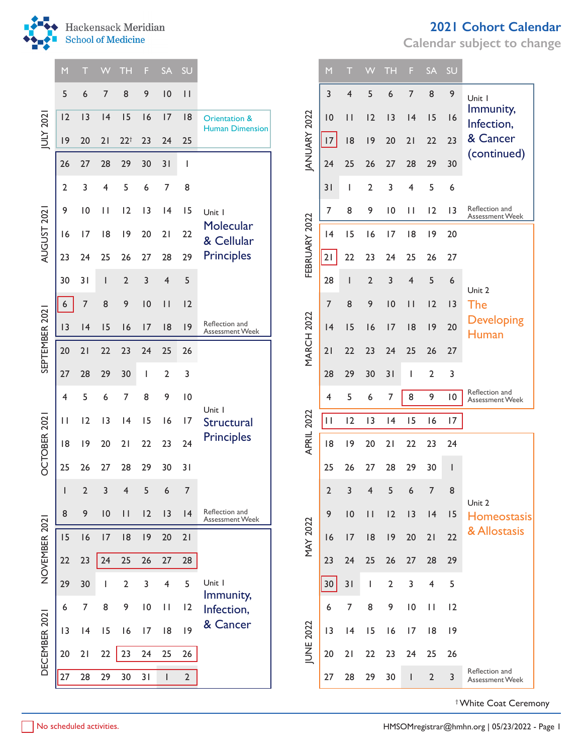

|                | M               |                 | W  | TH             | F               | <b>SA</b>      | SU              |                                          |                   | M              |                                     | VV             | TH             | F.                           | <b>SA</b>             | SU              |                                          |
|----------------|-----------------|-----------------|----|----------------|-----------------|----------------|-----------------|------------------------------------------|-------------------|----------------|-------------------------------------|----------------|----------------|------------------------------|-----------------------|-----------------|------------------------------------------|
|                | 5               | 6               | 7  | 8              | 9               | 10             | $\vert \vert$   |                                          |                   | 3              | 4                                   | 5              | 6              | 7                            | 8                     | 9               | Unit I                                   |
|                | 12              | 3               | 4  | 15             | 16              | 17             | 8               | Orientation &                            |                   | 0              | $\vert \vert$                       | 12             | 13             | 4                            | 15                    | 16              | Immunity,<br>Infection,                  |
| JULY 202       | 9               | 20              | 21 | $22^{+}$       | 23              | 24             | 25              | <b>Human Dimension</b>                   | JANUARY 2022      | 17             | 8                                   | 9              | 20             | 21                           | 22                    | 23              | & Cancer                                 |
|                | 26              | 27              | 28 | 29             | 30              | 31             | ı               |                                          |                   | 24             | 25                                  | 26             | 27             | 28                           | 29                    | 30              | (continued)                              |
|                | $\overline{2}$  | 3               | 4  | 5              | 6               | 7              | 8               |                                          |                   | 31             | Ш                                   | 2              | 3              | 4                            | 5                     | 6               |                                          |
|                | 9               | $\overline{10}$ | П  | 12             | 13              | 4              | 15              | Unit I                                   |                   | 7              | 8                                   | 9              | 10             | $\mathbf{H}$                 | 12                    | $\overline{13}$ | Reflection and<br>Assessment Week        |
| AUGUST 2021    | 16              | 17              | 8  | 9              | 20              | 21             | 22              | Molecular<br>& Cellular                  |                   | 4              | 15                                  | 16             | 17             | 8                            | 9                     | 20              |                                          |
|                | 23              | 24              | 25 | 26             | 27              | 28             | 29              | <b>Principles</b>                        | FEBRUARY 2022     | 2              | 22                                  | 23             | 24             | 25                           | 26                    | 27              |                                          |
|                | 30              | 31              |    | $\overline{2}$ | 3               | 4              | 5               |                                          |                   | 28             |                                     | $\overline{2}$ | 3              | 4                            | 5                     | 6               |                                          |
|                | $6\overline{6}$ | $\overline{7}$  | 8  | 9              | 10              | $\vert \vert$  | 12              |                                          |                   | 7              | 8                                   | 9              | 10             | $\vert \vert$                | 12                    | 3               | Unit 2<br>The                            |
| SEPTEMBER 2021 | 3               | 4               | 15 | 16             | 17              | 8              | 9               | Reflection and<br>Assessment Week        |                   | 4              | 15                                  | 16             | 17             | 8                            | 9                     | 20              | <b>Developing</b><br>Human               |
|                | 20              | 21              | 22 | 23             | 24              | 25             | 26              |                                          | <b>MARCH 2022</b> | 21             | 22                                  | 23             | 24             | 25                           | 26                    | 27              |                                          |
|                | 27              | 28              | 29 | 30             |                 | $\overline{2}$ | 3               |                                          |                   | 28             | 29                                  | 30             | 31             |                              | $\overline{2}$        | 3               |                                          |
|                | 4               | 5               | 6  | 7              | 8               | 9              | 10              |                                          |                   | 4              | 5                                   | 6              | 7              | 8                            | 9                     | 10              | Reflection and<br><b>Assessment Week</b> |
|                | П               | 12              | 13 | 4              | 15              | 16             | 17              | Unit I<br>Structural                     |                   | $\mathbf{H}$   | 12                                  | 13             | 4              | 15                           | 16                    | 17              |                                          |
|                | 8               | 9               | 20 | 21             | 22              | 23             | 24              | <b>Principles</b>                        | <b>APRIL 2022</b> | 8              | 9                                   | 20             | 21             | 22                           | 23                    | 24              |                                          |
| OCTOBER 2021   | 25              | 26              | 27 | 28             | 29              | 30             | 31              |                                          |                   | 25             | 26                                  | 27             | 28             | 29                           | 30                    |                 |                                          |
|                | $\pm$           | $2 \quad 3$     |    | $\overline{4}$ | 5 <sup>7</sup>  | 6 <sup>6</sup> | $7\overline{ }$ |                                          |                   | $\overline{2}$ | $\overline{3}$                      | $\overline{4}$ | 5              | $\boldsymbol{6}$             | $\overline{7}$        | 8               |                                          |
|                | 8               | 9               | 10 | $\mathbf{H}$   | 12              | 3              | 4               | Reflection and<br><b>Assessment Week</b> |                   | 9              | 0<br>$\mathbf{H}$<br>12<br>13<br> 4 |                | 15             | Unit 2<br><b>Homeostasis</b> |                       |                 |                                          |
| NOVEMBER 2021  | 15              | 16              | 17 | 8              | 9               | 20             | 21              |                                          | <b>MAY 2022</b>   | 16             | 17                                  | 8              | 9              | 20                           | 21                    | 22              | & Allostasis                             |
|                | 22              | 23              | 24 | 25             | 26              | 27             | 28              |                                          |                   | 23             | 24                                  | 25             | 26             | 27                           | 28                    | 29              |                                          |
|                | 29              | 30              |    | $\overline{2}$ | 3               | 4              | 5               | Unit I                                   |                   | $30\,$         | 31                                  | ı              | $\overline{2}$ | 3                            | 4                     | 5               |                                          |
|                | 6               | 7               | 8  | 9              | $\overline{10}$ | $\mathbf{H}$   | 2               | Immunity,<br>Infection,                  |                   | 6              | 7                                   | 8              | 9              | $\overline{10}$              | $\mathbf{\mathbf{H}}$ | 12              |                                          |
| DECEMBER 2021  | 3               | 4               | 15 | 16             | 17              | 8              | 9               | & Cancer                                 |                   | 13             | 4                                   | 15             | 16             | 17                           | 8                     | 9               |                                          |
|                | 20              | 21              | 22 | 23             | 24              | 25             | 26              |                                          | JUNE 2022         | 20             | 21                                  | 22             | 23             | 24                           | 25                    | 26              |                                          |
|                | 27              | 28              | 29 | 30             | 31              | $\mathbf{I}$   | $\overline{2}$  |                                          |                   | 27             | 28                                  | 29             | 30             | $\mathsf{I}$                 | $\overline{2}$        | 3               | Reflection and<br>Assessment Week        |

|                   | 3                       | $\overline{\mathbf{4}}$  | 5                       | 6              | 7                        | 8                       | 9                        | Unit I                            |
|-------------------|-------------------------|--------------------------|-------------------------|----------------|--------------------------|-------------------------|--------------------------|-----------------------------------|
|                   | 10                      | $\overline{\phantom{a}}$ | 12                      | 13             | 4                        | 15                      | 16                       | Immunity,<br>Infection,           |
| JANUARY 2022      | 17                      | 18                       | 9                       | 20             | 21                       | 22                      | 23                       | & Cancer                          |
|                   | 24                      | 25                       | 26                      | 27             | 28                       | 29                      | 30                       | (continued)                       |
|                   | 31                      | I                        | $\overline{2}$          | 3              | $\overline{\mathbf{4}}$  | 5                       | 6                        |                                   |
|                   | 7                       | 8                        | 9                       | $\overline{0}$ | П                        | 12                      | 13                       | Reflection and<br>Assessment Week |
|                   | 4                       | 15                       | 16                      | 17             | 18                       | 9                       | 20                       |                                   |
| FEBRUARY 2022     | 21                      | 22                       | 23                      | 24             | 25                       | 26                      | 27                       |                                   |
|                   | 28                      | $\overline{\phantom{a}}$ | $\overline{2}$          | 3              | $\overline{4}$           | 5                       | 6                        | Unit 2                            |
|                   | 7                       | 8                        | 9                       | 10             | $\overline{\phantom{a}}$ | 12                      | 3                        | The                               |
|                   | 4                       | 15                       | 16                      | 17             | 18                       | 9                       | 20                       | <b>Developing</b><br>Human        |
| <b>MARCH 2022</b> | 21                      | 22                       | 23                      | 24             | 25                       | 26                      | 27                       |                                   |
|                   | 28                      | 29                       | 30                      | 31             | I                        | $\overline{\mathbf{c}}$ | 3                        |                                   |
|                   | $\overline{\mathbf{4}}$ | 5                        | 6                       | 7              | 8                        | 9                       | $\overline{0}$           | Reflection and<br>Assessment Week |
|                   | П                       | 12                       | 13                      | 4              | 15                       | 16                      | 17                       |                                   |
| <b>APRIL 2022</b> | 18                      | 9                        | 20                      | 21             | 22                       | 23                      | 24                       |                                   |
|                   | 25                      | 26                       | 27                      | 28             | 29                       | 30                      | $\overline{\phantom{a}}$ |                                   |
|                   | $\overline{2}$          | 3                        | $\overline{\mathbf{4}}$ | 5              | 6                        | $\overline{7}$          | 8                        |                                   |
|                   | 9                       | $\overline{10}$          | П                       | 12             | 3                        | 4                       | 15                       | Unit 2<br>Homeostasis             |
| <b>MAY 2022</b>   | 16                      | 17                       | 18                      | 19             | 20                       | 21                      | 22                       | & Allostasis                      |
|                   | 23                      | 24                       | 25                      | 26             | 27                       | 28                      | 29                       |                                   |
|                   | 30                      | 31                       | I                       | $\overline{2}$ | 3                        | 4                       | 5                        |                                   |
|                   | 6                       | 7                        | 8                       | 9              | $\overline{10}$          | П                       | 2                        |                                   |
|                   |                         |                          |                         |                |                          |                         |                          |                                   |
|                   | 13                      | 4                        | 15                      | 16             | 17                       | 18                      | 9                        |                                   |
|                   | 20                      | 21                       | 22                      | 23             | 24                       | 25                      | 26                       |                                   |
| <b>JUNE 2022</b>  | 27                      | 28                       | 29                      | 30             | I                        | $\overline{2}$          | 3                        | Reflection and<br>Assessment Week |

## **2021 Cohort Calendar**

**Calendar subject to change**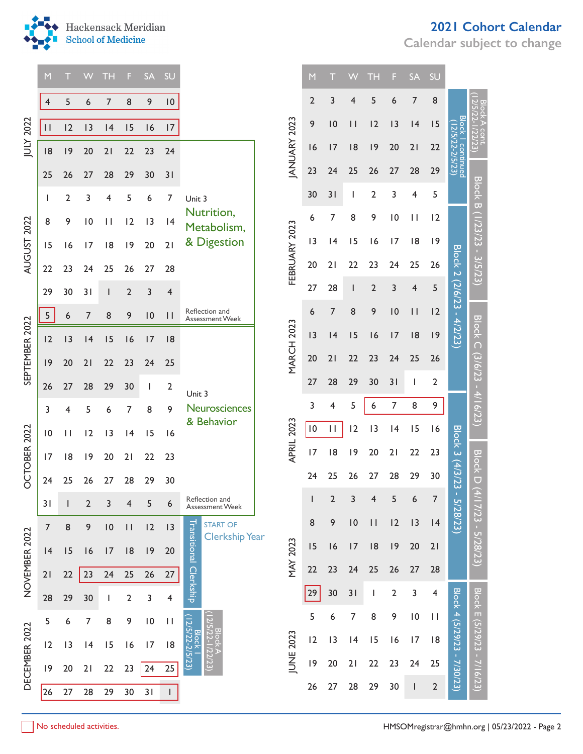

**Calendar subject to change**



|                | M               |                | W                        | <b>TH</b>       | F.             | <b>SA</b>       | <b>SU</b>                           |                                                                               |                   | M              |                | W               | TH.            | F.              | <b>SA</b>       | <b>SU</b>                                     |                             |                                                                                                                                                                       |
|----------------|-----------------|----------------|--------------------------|-----------------|----------------|-----------------|-------------------------------------|-------------------------------------------------------------------------------|-------------------|----------------|----------------|-----------------|----------------|-----------------|-----------------|-----------------------------------------------|-----------------------------|-----------------------------------------------------------------------------------------------------------------------------------------------------------------------|
|                | 4               | 5              | 6                        | $7\overline{ }$ | 8              | 9               | $\overline{\mathsf{I}}\,\mathsf{O}$ |                                                                               |                   | $\overline{2}$ | 3              | 4               | 5              | 6               | 7               | 8                                             |                             |                                                                                                                                                                       |
| 2022           | $\vert \vert$   | 12             | 3                        | 4               | 15             | 16              | 17                                  |                                                                               |                   | 9              | 10             | $\vert \vert$   | 12             | 3               | 4               | 15                                            | <b>Block</b><br>(12/5       | 22/23)<br>22/23)<br>Block B (1/23/23 - 3/5/23)<br><b>Block C</b><br>$(3/6/23 - 4/16/23)$<br>Block D (4<br>/ 17/23 - 5/28/23)<br><b>Block E</b><br>(5/29/23 - 7/16/23) |
| knl            | 8               | 9              | 20                       | 21              | $22\,$         | 23              | 24                                  |                                                                               | ANUARY 2023       | 16             | 17             | 8               | 9              | 20              | 21              | 22                                            |                             |                                                                                                                                                                       |
|                | 25              | 26             | 27                       | 28              | 29             | 30              | 31                                  |                                                                               |                   | 23             | 24             | 25              | 26             | 27              | 28              | 29                                            | continued<br>22-2/5/23)     |                                                                                                                                                                       |
|                | J.              | $\overline{2}$ | 3                        | 4               | 5              | 6               | 7                                   | Unit 3                                                                        |                   | 30             | 31             |                 | 2              | 3               | 4               | 5                                             |                             |                                                                                                                                                                       |
| 2022           | 8               | 9              | $\overline{10}$          | $\mathbf{H}$    | 12             | 3               | 4                                   | Nutrition,<br>Metabolism,                                                     |                   | 6              | 7              | 8               | 9              | $\overline{10}$ | $\mathbf{H}$    | 12                                            |                             |                                                                                                                                                                       |
|                | 15              | 16             | 17                       | 8               | 9              | 20              | 21                                  | & Digestion                                                                   | FEBRUARY 2023     | 13             | 4              | 15              | 16             | 17              | 8               | 9                                             |                             |                                                                                                                                                                       |
| <b>AUGUST</b>  | 22              | 23             | 24                       | 25              | 26             | 27              | 28                                  |                                                                               |                   | 20             | 21             | 22              | 23             | 24              | 25              | 26                                            |                             |                                                                                                                                                                       |
|                | 29              | 30             | 31                       |                 | $\overline{2}$ | 3               | 4                                   |                                                                               |                   | 27             | 28             |                 | $\overline{2}$ | 3               | 4               | 5                                             |                             |                                                                                                                                                                       |
|                | 5               | 6              | $\overline{7}$           | 8               | 9              | $\overline{10}$ | $\vert \ \vert$                     | Reflection and<br>Assessment Week                                             |                   | 6              | $\overline{7}$ | 8               | 9              | $\overline{10}$ | $\vert \ \vert$ | 12                                            | Block 2 (2/6/23 - 4/2/23)   |                                                                                                                                                                       |
| SEPTEMBER 2022 | 12              | 3              | 4                        | 15              | 16             | 17              | 8                                   |                                                                               | <b>MARCH 2023</b> | 3              | 4              | 15              | 16             | 17              | 8               | 9                                             |                             |                                                                                                                                                                       |
|                | 9               | 20             | 21                       | 22              | 23             | 24              | 25                                  |                                                                               |                   | $20\,$         | 21             | 22              | 23             | 24              | 25              | 26                                            |                             |                                                                                                                                                                       |
|                | 26              | 27             | 28                       | 29              | 30             | I.              | 2                                   | Unit 3                                                                        |                   | 27             | 28             | 29              | 30             | 31              | J.              | 2                                             |                             |                                                                                                                                                                       |
|                | 3               | 4              | 5                        | 6               | 7              | 8               | 9                                   | Neurosciences                                                                 |                   | 3              | 4              | 5               | 6              | $\overline{7}$  | 8               | 9                                             |                             |                                                                                                                                                                       |
|                | $\overline{10}$ | $\mathbf{H}$   | 12                       | 13              | 4              | 15              | 16                                  | & Behavior                                                                    | APRIL 2023        | $\, 10$        | $\mathbf{H}$   | 12              | 3              | 4               | 15              | 16                                            |                             |                                                                                                                                                                       |
| OCTOBER 2022   | 17              | 8              | 9                        | 20              | 21             | 22              | 23                                  |                                                                               |                   | 17             | 8              | 9               | 20             | 21              | 22              | 23                                            | <b>Block 3 (4/3/23</b>      |                                                                                                                                                                       |
|                | 24              | 25             | 26                       | 27              | 28             | 29              | 30                                  |                                                                               |                   | 24             | 25             | 26              | 27             | 28              | 29              | 30                                            |                             |                                                                                                                                                                       |
|                | 31              |                | $\overline{2}$           | 3               | 4              | 5               | 6                                   | Reflection and<br>Assessment Week                                             |                   |                | $\overline{2}$ | 3               | 4              | 5               | 6               | $\overline{7}$                                | 5/28/23)                    |                                                                                                                                                                       |
|                | $\overline{7}$  | 8              | 9                        | 10              | $\vert \vert$  | 12              | 3                                   | <b>START OF</b><br><b>Clerkship Year</b>                                      |                   | 8              | 9              | $\overline{10}$ | $\vert \vert$  | 12              | 3               | 4                                             |                             |                                                                                                                                                                       |
|                | 4               | 15             | 16                       | 17              | 8              | 9               | 20                                  |                                                                               | <b>MAY 2023</b>   | 15             | 16             | 17              | 8              | 9               | 20              | 21                                            |                             |                                                                                                                                                                       |
| NOVEMBER 2022  | 21              | 22             | 23                       | 24              | 25             | 26              | 27                                  | Transitional Clerkship                                                        |                   | $22$           | 23             | 24              | 25             | 26              | 27              | 28                                            |                             |                                                                                                                                                                       |
|                | 28              | 29             | 30                       |                 | $\overline{2}$ | 3               | $\overline{\mathbf{4}}$             |                                                                               |                   | 29             | 30             | 31              |                | $\overline{2}$  | 3               | 4                                             |                             |                                                                                                                                                                       |
|                | 5               | 6              | 7                        | 8               | 9              | $\overline{10}$ | $\mathbf{H}$                        |                                                                               |                   | 5              | 6              | 7               | 8              | 9               | $\overline{10}$ | $\mathbf{H}$                                  |                             |                                                                                                                                                                       |
|                | 12              | 13             | 4                        | 15              | 16             | 17              | 8                                   | Block  <br> 2/5/22-2/5/23)<br>  Βlock A<br>2/5/22-1/22/23)<br>2/5/22-1/22/23) | JUNE 2023         | 12             | 13             | 4               | 15             | 16              | 17              | 8                                             |                             |                                                                                                                                                                       |
| DECEMBER 2022  | 9               | 20             | 21                       | 22              | 23             | 24              | 25                                  |                                                                               |                   | 9              | 20             | 21              | 22             | 23              | 24              | 25                                            | Block 4 (5/29/23 - 7/30/23) |                                                                                                                                                                       |
|                | 26              | 27             | 28                       | 29              | 30             | 31              | $\mathbf{L}$                        |                                                                               |                   | 26             | 27             | 28              | 29             | 30              | J.              | $\overline{2}$                                |                             |                                                                                                                                                                       |
|                |                 |                | No scheduled activities. |                 |                |                 |                                     |                                                                               |                   |                |                |                 |                |                 |                 | HMSOMregistrar@hmhn.org   05/23/2022 - Page 2 |                             |                                                                                                                                                                       |

|                     | M               | T                       |                          | ТH                                                                                                                                                                                                                                                                                                                                                                               | F               | <b>SA</b>       | SU                      |                             |                 |
|---------------------|-----------------|-------------------------|--------------------------|----------------------------------------------------------------------------------------------------------------------------------------------------------------------------------------------------------------------------------------------------------------------------------------------------------------------------------------------------------------------------------|-----------------|-----------------|-------------------------|-----------------------------|-----------------|
|                     | $\overline{2}$  | 3                       | 4                        | 5                                                                                                                                                                                                                                                                                                                                                                                | 6               | 7               | 8                       |                             |                 |
|                     | 9               | $\overline{10}$         | $\mathsf{I}$             | 2                                                                                                                                                                                                                                                                                                                                                                                | 3               | 4               | 15                      | Block                       |                 |
| <b>IANUARY 2023</b> | 16              | 17                      | 18                       | 19                                                                                                                                                                                                                                                                                                                                                                               | 20              | 21              | 22                      |                             |                 |
|                     | 23              | 24                      | 25                       | 26                                                                                                                                                                                                                                                                                                                                                                               | 27              | 28              | 29                      | continued<br>(5/23)         |                 |
|                     | 30              | 31                      | I                        | $\overline{a}$                                                                                                                                                                                                                                                                                                                                                                   | 3               | 4               | 5                       |                             | Block B         |
|                     | 6               | 7                       | 8                        | 9                                                                                                                                                                                                                                                                                                                                                                                | 10              | П               | 2                       |                             |                 |
| FEBRUARY 2023       | 3               | 4                       | 15                       | 16                                                                                                                                                                                                                                                                                                                                                                               | 17              | 18              | 19                      |                             |                 |
|                     | 20              | $\overline{2}$          | 22                       | 23                                                                                                                                                                                                                                                                                                                                                                               | 24              | 25              | 26                      |                             |                 |
|                     | 27              | 28                      | $\overline{\phantom{a}}$ | $\overline{2}$                                                                                                                                                                                                                                                                                                                                                                   | 3               | 4               | 5                       | Block 2 (2/6/23 - 4/2/23)   |                 |
|                     | 6               | 7                       | 8                        | 9                                                                                                                                                                                                                                                                                                                                                                                | $\overline{10}$ | $\mathsf{I}$    | 2                       |                             |                 |
| <b>MARCH 2023</b>   | 3               | 4                       | 15                       | 16                                                                                                                                                                                                                                                                                                                                                                               | 17              | 18              | 9                       |                             | <b>Block C</b>  |
|                     | 20              | 21                      | 22                       | 23                                                                                                                                                                                                                                                                                                                                                                               | 24              | 25              | 26                      |                             |                 |
|                     | 27              | 28                      | 29                       | 30                                                                                                                                                                                                                                                                                                                                                                               | 31              | I               | $\overline{2}$          |                             |                 |
|                     | 3               | 4                       | 5                        | 6                                                                                                                                                                                                                                                                                                                                                                                | 7               | 8               | 9                       |                             |                 |
| APRIL 2023          | $\overline{10}$ | П                       | 2                        | 3                                                                                                                                                                                                                                                                                                                                                                                | 4               | 15              | 16                      |                             |                 |
|                     | $\overline{17}$ | 18                      | 19                       | 20                                                                                                                                                                                                                                                                                                                                                                               | 21              | 22              | 23                      | Block 3 (4/3/23             | <u>Block</u>    |
|                     | 24              | 25                      | 26                       | 27                                                                                                                                                                                                                                                                                                                                                                               | 28              | 29              | 30                      |                             |                 |
|                     | I               | $\overline{\mathbf{c}}$ | 3                        | 4                                                                                                                                                                                                                                                                                                                                                                                | 5               | 6               | 7                       |                             |                 |
|                     | 8               | 9                       | $\overline{10}$          | П                                                                                                                                                                                                                                                                                                                                                                                | 2               | 3               | 4                       |                             |                 |
|                     | 15              | 16                      | 7                        | 18                                                                                                                                                                                                                                                                                                                                                                               | 9               | 20              | 21                      |                             |                 |
| <b>MAY 2023</b>     | 22              | 23                      | 24                       | 25                                                                                                                                                                                                                                                                                                                                                                               | 26              | 27              | 28                      |                             |                 |
|                     | 29              | 30                      | 31                       | $\begin{array}{c} \rule{0pt}{2.5ex} \rule{0pt}{2.5ex} \rule{0pt}{2.5ex} \rule{0pt}{2.5ex} \rule{0pt}{2.5ex} \rule{0pt}{2.5ex} \rule{0pt}{2.5ex} \rule{0pt}{2.5ex} \rule{0pt}{2.5ex} \rule{0pt}{2.5ex} \rule{0pt}{2.5ex} \rule{0pt}{2.5ex} \rule{0pt}{2.5ex} \rule{0pt}{2.5ex} \rule{0pt}{2.5ex} \rule{0pt}{2.5ex} \rule{0pt}{2.5ex} \rule{0pt}{2.5ex} \rule{0pt}{2.5ex} \rule{0$ | $\overline{2}$  | 3               | $\overline{\mathbf{4}}$ |                             |                 |
|                     | 5               | 6                       | $\overline{7}$           | 8                                                                                                                                                                                                                                                                                                                                                                                | 9               | $\overline{10}$ | П                       |                             | Block E (5/29/2 |
|                     | 2               | $\overline{1}$          | 4                        | 15                                                                                                                                                                                                                                                                                                                                                                               | 6               | 7               | 18                      | Block 4 (5/29/23 - 7/30/23) |                 |
| JUNE 2023           | 9               | 20                      | 21                       | 22                                                                                                                                                                                                                                                                                                                                                                               | 23              | 24              | 25                      |                             |                 |
|                     | 26              | 27                      | 28                       | 29                                                                                                                                                                                                                                                                                                                                                                               | 30              | $\mathsf I$     | $\overline{\mathbf{c}}$ |                             |                 |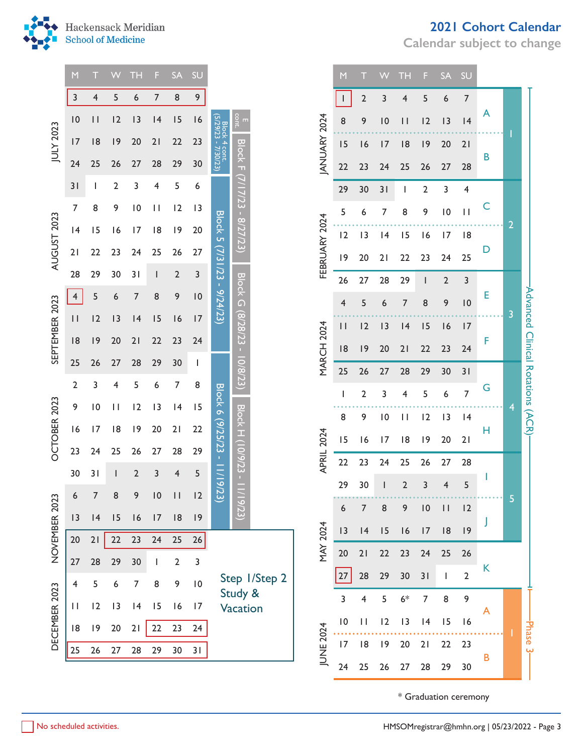

## **2021 Cohort Calendar**

**Calendar subject to change**

|                | M              | т               | VV           | <b>TH</b>       | F            | <b>SA</b>      | SU              |                                      |                              |               |                   | M             | т                       | w               | <b>TH</b>      | F  | <b>SA</b>       | SU                    |              |                |
|----------------|----------------|-----------------|--------------|-----------------|--------------|----------------|-----------------|--------------------------------------|------------------------------|---------------|-------------------|---------------|-------------------------|-----------------|----------------|----|-----------------|-----------------------|--------------|----------------|
|                | 3              | 4               | 5            | 6               | 7            | 8              | 9               |                                      |                              |               |                   |               | $\overline{2}$          | 3               | 4              | 5  | 6               | $\overline{7}$        | A            |                |
|                | 10             | $\vert \vert$   | 12           | 3               | 4            | 15             | 16              | Block 4 cont.<br>(5/29/23 - 7/30/23) | E<br>cont.                   |               | ANUARY 2024       | 8             | 9                       | 10              | $\vert \vert$  | 12 | 13              | 4                     |              |                |
| JULY 2023      | 17             | 8               | 9            | 20              | 21           | 22             | 23              |                                      |                              |               |                   | 15            | 16                      | 17              | 8              | 9  | 20              | 21                    | B            |                |
|                | 24             | 25              | 26           | 27              | 28           | 29             | 30              |                                      | Block F (7/17/23 - 8/27/23)  |               |                   | 22            | 23                      | 24              | 25             | 26 | 27              | 28                    |              |                |
|                | 31             | I               | 2            | 3               | 4            | 5              | 6               |                                      |                              |               |                   | 29            | 30                      | 31              | Ш              | 2  | 3               | 4                     |              |                |
|                | $\overline{7}$ | 8               | 9            | $\overline{10}$ | $\mathbf{H}$ | 12             | 3               |                                      |                              |               |                   | 5             | 6                       | 7               | 8              | 9  | $\overline{10}$ | $\mathbf{H}$          | C            |                |
|                | 4              | 15              | 16           | 17              | 8            | 9              | 20              | <b>Block 5</b>                       |                              |               |                   | 12            | 13                      | 4               | 15             | 16 | 17              | 8                     |              | $\overline{2}$ |
| AUGUST 2023    | 21             | 22              | 23           | 24              | 25           | 26             | 27              | (7/3 I /23                           |                              |               | FEBRUARY 2024     | 9             | 20                      | 21              | 22             | 23 | 24              | 25                    | D            |                |
|                | 28             | 29              | 30           | 31              |              | $\overline{2}$ | 3               |                                      |                              |               |                   | 26            | 27                      | 28              | 29             | I  | $\overline{2}$  | 3                     |              |                |
|                | 4              | 5               | 6            | 7               | 8            | 9              | 10              | $-9/24/23$                           | <b>Block G (8/28/23</b>      |               |                   | 4             | 5                       | 6               | 7              | 8  | 9               | 10                    | Ε            |                |
| SEPTEMBER 2023 | $\vert \vert$  | 2               | 3            | 4               | 15           | 16             | 17              |                                      |                              |               |                   | $\vert \vert$ | 12                      | 3               | 4              | 15 | 16              | 17                    |              | 3              |
|                | 8              | 9               | 20           | 21              | 22           | 23             | 24              |                                      | $\mathbf{r}_i$               |               | <b>MARCH 2024</b> | 8             | 9                       | 20              | 21             | 22 | 23              | 24                    | F            |                |
|                | 25             | 26              | 27           | 28              | 29           | 30             |                 |                                      | 10/8/23)                     |               |                   | 25            | 26                      | 27              | 28             | 29 | 30              | 31                    |              |                |
| OCTOBER 2023   | $\overline{2}$ | 3               | 4            | 5               | 6            | 7              | 8               | <b>Block 6</b>                       |                              |               |                   | I             | $\overline{2}$          | 3               | 4              | 5  | 6               | $\overline{7}$        | G            |                |
|                | 9              | $\overline{10}$ | $\mathbf{H}$ | 12              | 13           | 4              | 15              |                                      |                              |               |                   | 8             | 9                       | $\overline{10}$ | $\mathbf{H}$   | 12 | 3               | 4                     |              | 4              |
|                | 16             | 17              | 8            | 9               | 20           | 21             | 22              |                                      |                              |               |                   | 15            | 16                      | 17              | 8              | 9  | 20              | 21                    | Н            |                |
|                | 23             | 24              | 25           | 26              | 27           | 28             | 29              |                                      |                              |               | <b>APRIL 2024</b> | 22            | 23                      | 24              | 25             | 26 | 27              | 28                    |              |                |
|                | 30             | 31              |              | $\overline{2}$  | 3            | 4              | 5               | (9/25/23 - 11/19)                    | <b>Block H (10/9/23 - 11</b> |               |                   | 29            | 30                      | ı               | $\overline{2}$ | 3  | 4               | 5                     |              |                |
|                | 6              | $\overline{7}$  | 8            | 9               | 10           | $\vert \vert$  | 12              | (23)                                 | /19/23)                      |               |                   | 6             | $\overline{7}$          | 8               | 9              | 0  | $\vert \vert$   | 12                    |              | 5              |
|                | 3              | 4               | 15           | 16              | 17           | 8              | 9               |                                      |                              |               |                   | 3             | 4                       | 15              | 16             | 17 | 8               | 9                     |              |                |
| NOVEMBER 2023  | 20             | 21              | 22           | 23              | 24           | 25             | 26              |                                      |                              |               | MAY 2024          |               |                         |                 |                |    |                 |                       |              |                |
|                | 27             | 28              | 29           | 30              |              | 2              | 3               |                                      |                              |               |                   | $20$          | 21                      | $22\,$          | 23             | 24 | 25              | 26                    | K            |                |
|                | $\overline{4}$ | 5               | 6            | 7               | 8            | 9              | $\overline{10}$ |                                      | Study &                      | Step 1/Step 2 |                   | $27\,$        | 28                      | 29              | 30             | 31 | т.              | $\overline{2}$        |              |                |
|                | $\mathbf{H}$   | 12              | 13           | 4               | 15           | 16             | 17              |                                      | Vacation                     |               |                   | 3             | $\overline{\mathbf{4}}$ | 5               | $6*$           | 7  | 8               | 9                     | $\mathsf{A}$ |                |
|                | 8              | 9               | 20           | 21              | 22           | 23             | 24              |                                      |                              |               |                   | 10            | $\mathbf{H}$            | 12              | 3              | 4  | 15              | 16                    |              |                |
| DECEMBER 2023  | 25             | 26              | 27           | 28              | 29           | 30             | 31              |                                      |                              |               | <b>JUNE 2024</b>  | 17            | 8                       | 9               | 20             | 21 | 22              | 23                    | в            |                |
|                |                |                 |              |                 |              |                |                 |                                      |                              |               |                   | 24            | 25                      | 26              | 27             | 28 | 29              | 30                    |              |                |
|                |                |                 |              |                 |              |                |                 |                                      |                              |               |                   |               |                         |                 |                |    |                 | * Graduation ceremony |              |                |